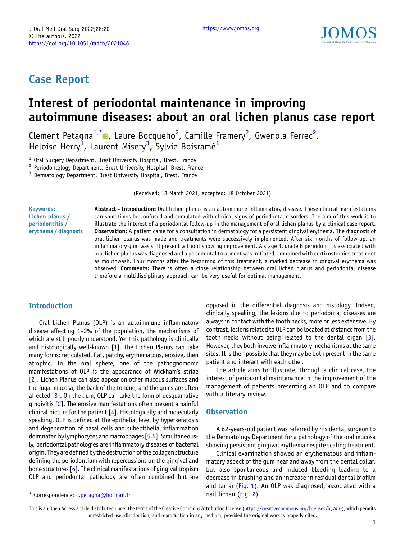

# Case Report

# Interest of periodontal maintenance in improving autoimmune diseases: about an oral lichen planus case report

Clement Petagna<sup>1,\*</sup> •, Laure Bocqueho<sup>2</sup>, Camille Framery<sup>2</sup>, Gwenola Ferrec<sup>2</sup>, Heloise Herry<sup>1</sup>, Laurent Misery<sup>3</sup>, Sylvie Boisramé<sup>1</sup>

<sup>1</sup> Oral Surgery Department, Brest University Hospital, Brest, France<br>
<sup>2</sup> Periodontology Department, Brest University Hospital, Brest, France 3 Dermatology Department, Brest University Hospital, Brest, France

(Received: 18 March 2021, accepted: 18 October 2021)

Keywords: Lichen planus / periodontitis / erythema / diagnosis Abstract - Introduction: Oral lichen planus is an autoimmune inflammatory disease. These clinical manifestations can sometimes be confused and cumulated with clinical signs of periodontal disorders. The aim of this work is to illustrate the interest of a periodontal follow-up in the management of oral lichen planus by a clinical case report. Observation: A patient came for a consultation in dermatology for a persistent gingival erythema. The diagnosis of oral lichen planus was made and treatments were successively implemented. After six months of follow-up, an inflammatory gum was still present without showing improvement. A stage 3, grade B periodontitis associated with oral lichen planus was diagnosed and a periodontal treatment was initiated, combined with corticosteroids treatment as mouthwash. Four months after the beginning of this treatment, a marked decrease in gingival erythema was observed. Comments: There is often a close relationship between oral lichen planus and periodontal disease therefore a multidisciplinary approach can be very useful for optimal management.

## Introduction

Oral Lichen Planus (OLP) is an autoimmune inflammatory disease affecting 1–2% of the population, the mechanisms of which are still poorly understood. Yet this pathology is clinically and histologically well-known [\[1](#page-4-0)]. The Lichen Planus can take many forms: reticulated, flat, patchy, erythematous, erosive, then atrophic. In the oral sphere, one of the pathognomonic manifestations of OLP is the appearance of Wickham's striae [\[2\]](#page-4-0). Lichen Planus can also appear on other mucous surfaces and the jugal mucosa, the back of the tongue, and the gums are often affected [\[3\]](#page-4-0). On the qum, OLP can take the form of desquamative gingivitis [[2\]](#page-4-0). The erosive manifestations often present a painful clinical picture for the patient [\[4\]](#page-4-0). Histologically and molecularly speaking, OLP is defined at the epithelial level by hyperkeratosis and degeneration of basal cells and subepithelial inflammation dominated by lymphocytes and macrophages [\[5,6\]](#page-4-0). Simultaneously, periodontal pathologies are inflammatory diseases of bacterial origin. Theyare defined by the destruction of the collagen structure defining the periodontium with repercussions on the gingival and bone structures  $[6]$ . The clinical manifestations of gingival tropism OLP and periodontal pathology are often combined but are

opposed in the differential diagnosis and histology. Indeed, clinically speaking, the lesions due to periodontal diseases are always in contact with the tooth necks, more or less extensive. By contrast, lesions related to OLP can be located at distance from the tooth necks without being related to the dental organ  $\lceil 3 \rceil$ . However, they both involve inflammatory mechanisms at the same sites. It is then possible that they may be both present in the same patient and interact with each other.

The article aims to illustrate, through a clinical case, the interest of periodontal maintenance in the improvement of the management of patients presenting an OLP and to compare with a literary review.

#### **Observation**

A 62-years-old patient was referred by his dental surgeon to the Dermatology Department for a pathology of the oral mucosa showing persistent gingival erythema despite scaling treatment.

Clinical examination showed an erythematous and inflammatory aspect of the gum near and away from the dental collar, but also spontaneous and induced bleeding leading to a decrease in brushing and an increase in residual dental biofilm and tartar ([Fig. 1](#page-1-0)). An OLP was diagnosed, associated with a

This is an Open Access article distributed under the terms of the Creative Commons Attribution License [\(https://creativecommons.org/licenses/by/4.0\)](https://creativecommons.org/licenses/by/4.0), which permits unrestricted use, distribution, and reproduction in any medium, provided the original work is properly cited.

<sup>\*</sup> Correspondence: [c.petagna@hotmail.fr](mailto:c.petagna@hotmail.fr) nail lichen [\(Fig. 2](#page-1-0)).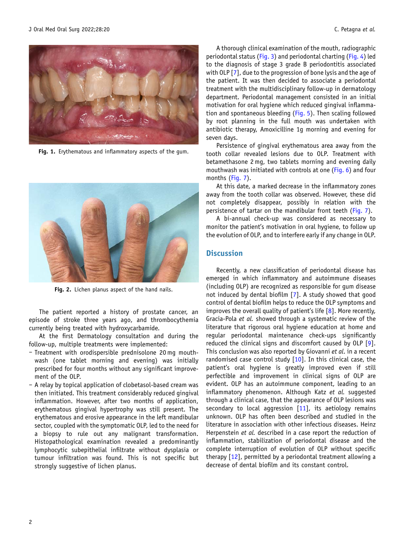<span id="page-1-0"></span>

Fig. 1. Erythematous and inflammatory aspects of the gum.



Fig. 2. Lichen planus aspect of the hand nails.

The patient reported a history of prostate cancer, an episode of stroke three years ago, and thrombocythemia currently being treated with hydroxycarbamide.

At the first Dermatology consultation and during the follow-up, multiple treatments were implemented:

- Treatment with orodispersible prednisolone 20 mg mouthwash (one tablet morning and evening) was initially prescribed for four months without any significant improvement of the OLP.
- A relay by topical application of clobetasol-based cream was then initiated. This treatment considerably reduced gingival inflammation. However, after two months of application, erythematous gingival hypertrophy was still present. The erythematous and erosive appearance in the left mandibular sector, coupled with the symptomatic OLP, led to the need for a biopsy to rule out any malignant transformation. Histopathological examination revealed a predominantly lymphocytic subepithelial infiltrate without dysplasia or tumour infiltration was found. This is not specific but strongly suggestive of lichen planus.

A thorough clinical examination of the mouth, radiographic periodontal status [\(Fig. 3](#page-2-0)) and periodontal charting [\(Fig. 4\)](#page-3-0) led to the diagnosis of stage 3 grade B periodontitis associated with OLP [\[7](#page-4-0)], due to the progression of bone lysis and the age of the patient. It was then decided to associate a periodontal treatment with the multidisciplinary follow-up in dermatology department. Periodontal management consisted in an initial motivation for oral hygiene which reduced gingival inflammation and spontaneous bleeding ([Fig. 5\)](#page-4-0). Then scaling followed by root planning in the full mouth was undertaken with antibiotic therapy, Amoxicilline 1g morning and evening for seven days.

Persistence of gingival erythematous area away from the tooth collar revealed lesions due to OLP. Treatment with betamethasone 2 mg, two tablets morning and evening daily mouthwash was initiated with controls at one [\(Fig. 6\)](#page-4-0) and four months ([Fig. 7](#page-4-0)).

At this date, a marked decrease in the inflammatory zones away from the tooth collar was observed. However, these did not completely disappear, possibly in relation with the persistence of tartar on the mandibular front teeth [\(Fig. 7\)](#page-4-0).

A bi-annual check-up was considered as necessary to monitor the patient's motivation in oral hygiene, to follow up the evolution of OLP, and to interfere early if any change in OLP.

# **Discussion**

Recently, a new classification of periodontal disease has emerged in which inflammatory and autoimmune diseases (including OLP) are recognized as responsible for gum disease not induced by dental biofilm [\[7](#page-4-0)]. A study showed that good control of dental biofilm helps to reduce the OLP symptoms and improves the overall quality of patient's life  $[8]$  $[8]$ . More recently, Gracia-Pola et al. showed through a systematic review of the literature that rigorous oral hygiene education at home and regular periodontal maintenance check-ups significantly reduced the clinical signs and discomfort caused by OLP [\[9](#page-4-0)]. This conclusion was also reported by Giovanni et al. in a recent randomised case control study [\[10](#page-4-0)]. In this clinical case, the patient's oral hygiene is greatly improved even if still perfectible and improvement in clinical signs of OLP are evident. OLP has an autoimmune component, leading to an inflammatory phenomenon. Although Katz et al. suggested through a clinical case, that the appearance of OLP lesions was secondary to local aggression  $[11]$  $[11]$ , its aetiology remains unknown. OLP has often been described and studied in the literature in association with other infectious diseases. Heinz Herpenstein et al. described in a case report the reduction of inflammation, stabilization of periodontal disease and the complete interruption of evolution of OLP without specific therapy [[12\]](#page-4-0), permitted by a periodontal treatment allowing a decrease of dental biofilm and its constant control.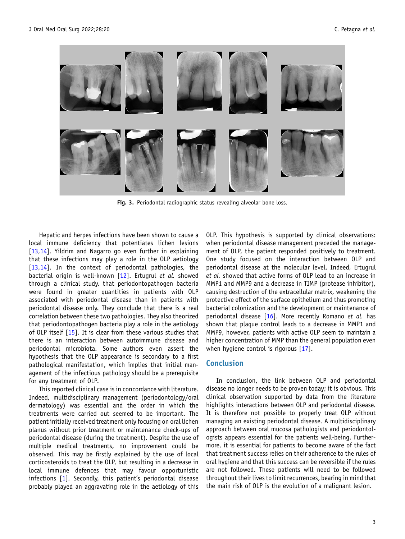<span id="page-2-0"></span>

Fig. 3. Periodontal radiographic status revealing alveolar bone loss.

Hepatic and herpes infections have been shown to cause a local immune deficiency that potentiates lichen lesions [\[13,14](#page-4-0)]. Yildrim and Nagarro go even further in explaining that these infections may play a role in the OLP aetiology [\[13,14](#page-4-0)]. In the context of periodontal pathologies, the bacterial origin is well-known [\[12](#page-4-0)]. Ertugrul et al. showed through a clinical study, that periodontopathogen bacteria were found in greater quantities in patients with OLP associated with periodontal disease than in patients with periodontal disease only. They conclude that there is a real correlation between these two pathologies. They also theorized that periodontopathogen bacteria play a role in the aetiology of OLP itself [\[15](#page-5-0)]. It is clear from these various studies that there is an interaction between autoimmune disease and periodontal microbiota. Some authors even assert the hypothesis that the OLP appearance is secondary to a first pathological manifestation, which implies that initial management of the infectious pathology should be a prerequisite for any treatment of OLP.

This reported clinical case is in concordance with literature. Indeed, multidisciplinary management (periodontology/oral dermatology) was essential and the order in which the treatments were carried out seemed to be important. The patient initially received treatment only focusing on oral lichen planus without prior treatment or maintenance check-ups of periodontal disease (during the treatment). Despite the use of multiple medical treatments, no improvement could be observed. This may be firstly explained by the use of local corticosteroids to treat the OLP, but resulting in a decrease in local immune defences that may favour opportunistic infections [\[1](#page-4-0)]. Secondly, this patient's periodontal disease probably played an aggravating role in the aetiology of this

OLP. This hypothesis is supported by clinical observations: when periodontal disease management preceded the management of OLP, the patient responded positively to treatment. One study focused on the interaction between OLP and periodontal disease at the molecular level. Indeed, Ertugrul et al. showed that active forms of OLP lead to an increase in MMP1 and MMP9 and a decrease in TIMP (protease inhibitor), causing destruction of the extracellular matrix, weakening the protective effect of the surface epithelium and thus promoting bacterial colonization and the development or maintenance of periodontal disease [\[16](#page-5-0)]. More recently Romano et al. has shown that plaque control leads to a decrease in MMP1 and MMP9, however, patients with active OLP seem to maintain a higher concentration of MMP than the general population even when hygiene control is rigorous [[17\]](#page-5-0).

#### Conclusion

In conclusion, the link between OLP and periodontal disease no longer needs to be proven today; it is obvious. This clinical observation supported by data from the literature highlights interactions between OLP and periodontal disease. It is therefore not possible to properly treat OLP without managing an existing periodontal disease. A multidisciplinary approach between oral mucosa pathologists and periodontologists appears essential for the patients well-being. Furthermore, it is essential for patients to become aware of the fact that treatment success relies on their adherence to the rules of oral hygiene and that this success can be reversible if the rules are not followed. These patients will need to be followed throughout their lives to limit recurrences, bearing in mind that the main risk of OLP is the evolution of a malignant lesion.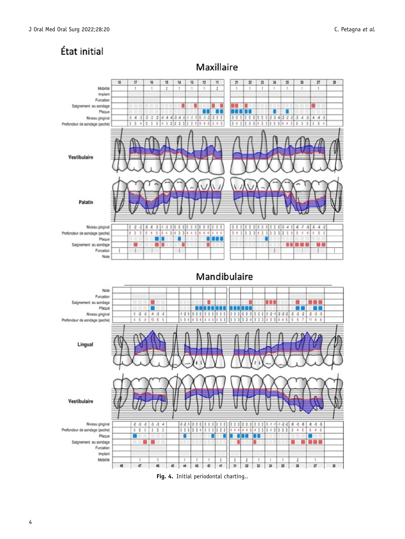<span id="page-3-0"></span>



Maxillaire

Fig. 4. Initial periodontal charting..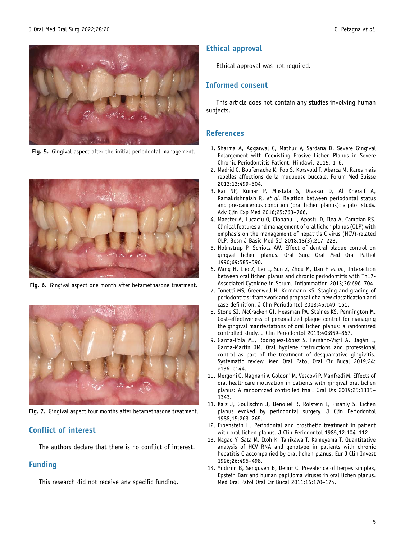<span id="page-4-0"></span>

Fig. 5. Gingival aspect after the initial periodontal management.



Fig. 6. Gingival aspect one month after betamethasone treatment.



Fig. 7. Gingival aspect four months after betamethasone treatment.

#### Conflict of interest

The authors declare that there is no conflict of interest.

#### Funding

This research did not receive any specific funding.

#### Ethical approval

Ethical approval was not required.

### Informed consent

This article does not contain any studies involving human subjects.

#### References

- 1. Sharma A, Aggarwal C, Mathur V, Sardana D. Severe Gingival Enlargement with Coexisting Erosive Lichen Planus in Severe Chronic Periodontitis Patient, Hindawi, 2015, 1–6.
- 2. Madrid C, Bouferrache K, Pop S, Korsvold T, Abarca M. Rares mais rebelles affections de la muqueuse buccale. Forum Med Suisse 2013;13:499–504.
- 3. Rai NP, Kumar P, Mustafa S, Divakar D, Al Kheraif A, Ramakrishnaiah R, et al. Relation between periodontal status and pre-cancerous condition (oral lichen planus): a pilot study. Adv Clin Exp Med 2016;25:763–766.
- 4. Maester A, Lucaciu O, Ciobanu L, Apostu D, Ilea A, Campian RS. Clinical features and management of oral lichen planus (OLP) with emphasis on the management of hepatitis C virus (HCV)-related OLP. Bosn J Basic Med Sci 2018;18(3):217–223.
- 5. Holmstrup P, Schiotz AW. Effect of dentral plaque control on gingval lichen planus. Oral Surg Oral Med Oral Pathol 1990;69:585–590.
- 6. Wang H, Luo Z, Lei L, Sun Z, Zhou M, Dan H et al., Interaction between oral lichen planus and chronic periodontitis with Th17- Associated Cytokine in Serum. Inflammation 2013;36:696–704.
- 7. Tonetti MS, Greenwell H, Kornmann KS. Staging and grading of periodontitis: framework and proposal of a new classification and case definition. J Clin Periodontol 2018;45:149–161.
- 8. Stone SJ, McCracken GI, Heasman PA, Staines KS, Pennington M. Cost-effectiveness of personalized plaque control for managing the gingival manifestations of oral lichen planus: a randomized controlled study. J Clin Periodontol 2013;40:859–867.
- 9. Garcia-Pola MJ, Rodriguez-López S, Fernánz-Vigil A, Bagán L, Garcia-Martín JM. Oral hygiene instructions and professional control as part of the treatment of desquamative gingivitis. Systematic review. Med Oral Patol Oral Cir Bucal 2019;24: e136–e144.
- 10. Mergoni G, Magnani V, Goldoni M, Vescovi P, Manfredi M. Effects of oral healthcare motivation in patients with gingival oral lichen planus: A randomized controlled trial. Oral Dis 2019;25:1335– 1343.
- 11. Kalz J, Goullschin J, Benoliel R, Rolstein I, Pisanly S. Lichen planus evoked by periodontal surgery. J Clin Periodontol 1988;15:263–265.
- 12. Erpenstein H. Periodontal and prosthetic treatment in patient with oral lichen planus. J Clin Periodontol 1985;12:104–112.
- 13. Nagao Y, Sata M, Itoh K, Tanikawa T, Kameyama T. Quantitative analysis of HCV RNA and genotype in patients with chronic hepatitis C accompanied by oral lichen planus. Eur J Clin Invest 1996;26:495–498.
- 14. Yildirim B, Senguven B, Demir C. Prevalence of herpes simplex, Epstein Barr and human papilloma viruses in oral lichen planus. Med Oral Patol Oral Cir Bucal 2011;16:170–174.